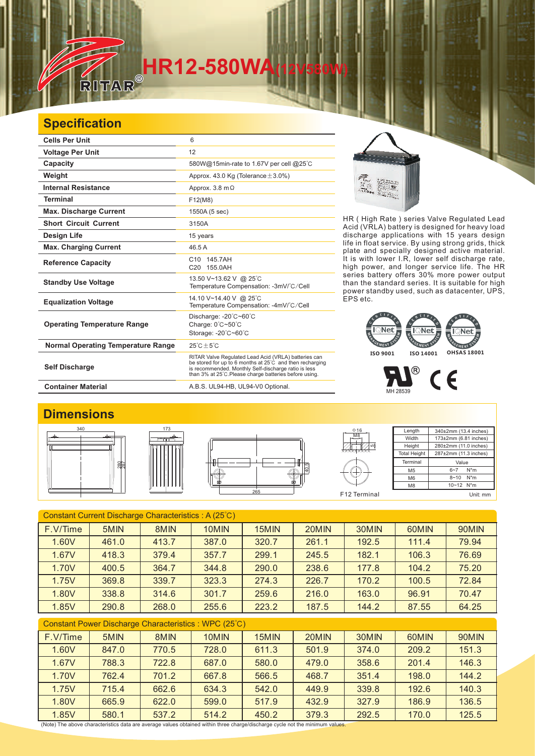# **HR12-580WA**

### **Specification**

**TELESCOPE** 

| <b>Cells Per Unit</b>                     | 6                                                                                                                                                                                                                                  |  |  |  |
|-------------------------------------------|------------------------------------------------------------------------------------------------------------------------------------------------------------------------------------------------------------------------------------|--|--|--|
| <b>Voltage Per Unit</b>                   | 12                                                                                                                                                                                                                                 |  |  |  |
| Capacity                                  | 580W@15min-rate to 1.67V per cell @25°C                                                                                                                                                                                            |  |  |  |
| Weight                                    | Approx. 43.0 Kg (Tolerance $\pm$ 3.0%)                                                                                                                                                                                             |  |  |  |
| <b>Internal Resistance</b>                | Approx. $3.8 \text{ m}\Omega$                                                                                                                                                                                                      |  |  |  |
| <b>Terminal</b>                           | F12(M8)                                                                                                                                                                                                                            |  |  |  |
| <b>Max. Discharge Current</b>             | 1550A (5 sec)                                                                                                                                                                                                                      |  |  |  |
| <b>Short Circuit Current</b>              | 3150A                                                                                                                                                                                                                              |  |  |  |
| Design Life                               | 15 years                                                                                                                                                                                                                           |  |  |  |
| <b>Max. Charging Current</b>              | 46.5 A                                                                                                                                                                                                                             |  |  |  |
| <b>Reference Capacity</b>                 | C10 145.7AH<br>C20 155.0AH                                                                                                                                                                                                         |  |  |  |
| <b>Standby Use Voltage</b>                | 13.50 V~13.62 V @ 25°C<br>Temperature Compensation: -3mV/°C/Cell                                                                                                                                                                   |  |  |  |
| <b>Equalization Voltage</b>               | 14.10 V~14.40 V @ 25°C<br>Temperature Compensation: -4mV/°C/Cell                                                                                                                                                                   |  |  |  |
| <b>Operating Temperature Range</b>        | Discharge: -20°C~60°C<br>Charge: 0°C~50°C<br>Storage: -20°C~60°C                                                                                                                                                                   |  |  |  |
| <b>Normal Operating Temperature Range</b> | $25^{\circ}$ C + 5 $^{\circ}$ C                                                                                                                                                                                                    |  |  |  |
| <b>Self Discharge</b>                     | RITAR Valve Regulated Lead Acid (VRLA) batteries can<br>be stored for up to 6 months at 25°C and then recharging<br>is recommended. Monthly Self-discharge ratio is less<br>than 3% at 25°C. Please charge batteries before using. |  |  |  |

EIN.

HR ( High Rate ) series Valve Regulated Lead Acid (VRLA) battery is designed for heavy load discharge applications with 15 years design life in float service. By using strong grids, and specially designed active material. It is with lower I.R, lower self discharge rate, high power, and longer service life. The HR series battery offers 30% more power output than the standard series. It is suitable for high power standby used, such as datacenter, UPS, EPS etc. thick plate

#### **EMENT** EMENTS MENT **ISO 9001 ISO 14001 OHSAS 18001**

 $\sum_{\text{min 28539}}$   $\zeta \in$ 

#### **Dimensions**





**Container Material Container Material A.B.S. UL94-HB, UL94-V0 Optional.** 



F12 Terminal 5 M8 Φ16

| Length              | 340±2mm (13.4 inches) |  |  |  |  |
|---------------------|-----------------------|--|--|--|--|
| Width               | 173±2mm (6.81 inches) |  |  |  |  |
| Height              | 280±2mm (11.0 inches) |  |  |  |  |
| <b>Total Height</b> | 287±2mm (11.3 inches) |  |  |  |  |
| Terminal            | Value                 |  |  |  |  |
| M <sub>5</sub>      | $N^*m$<br>$6 - 7$     |  |  |  |  |
| M <sub>6</sub>      | $N^*m$<br>$8 - 10$    |  |  |  |  |
| M <sub>8</sub>      | 10~12 N*m             |  |  |  |  |
|                     | Unit: mm              |  |  |  |  |

| Constant Current Discharge Characteristics: A (25°C) |       |       |       |       |       |       |       |       |  |  |
|------------------------------------------------------|-------|-------|-------|-------|-------|-------|-------|-------|--|--|
| F.V/Time                                             | 5MIN  | 8MIN  | 10MIN | 15MIN | 20MIN | 30MIN | 60MIN | 90MIN |  |  |
| 1.60V                                                | 461.0 | 413.7 | 387.0 | 320.7 | 261.1 | 192.5 | 111.4 | 79.94 |  |  |
| 1.67V                                                | 418.3 | 379.4 | 357.7 | 299.1 | 245.5 | 182.1 | 106.3 | 76.69 |  |  |
| 1.70V                                                | 400.5 | 364.7 | 344.8 | 290.0 | 238.6 | 177.8 | 104.2 | 75.20 |  |  |
| 1.75V                                                | 369.8 | 339.7 | 323.3 | 274.3 | 226.7 | 170.2 | 100.5 | 72.84 |  |  |
| 1.80V                                                | 338.8 | 314.6 | 301.7 | 259.6 | 216.0 | 163.0 | 96.91 | 70.47 |  |  |
| 1.85V                                                | 290.8 | 268.0 | 255.6 | 223.2 | 187.5 | 144.2 | 87.55 | 64.25 |  |  |
| Constant Power Discharge Characteristics: WPC (25°C) |       |       |       |       |       |       |       |       |  |  |
| F.V/Time                                             | 5MIN  | 8MIN  | 10MIN | 15MIN | 20MIN | 30MIN | 60MIN | 90MIN |  |  |
| 1.60V                                                | 847.0 | 770.5 | 728.0 | 611.3 | 501.9 | 374.0 | 209.2 | 151.3 |  |  |
| 1.67V                                                | 788.3 | 722.8 | 687.0 | 580.0 | 479.0 | 358.6 | 201.4 | 146.3 |  |  |
| 1.70V                                                | 762.4 | 701.2 | 667.8 | 566.5 | 468.7 | 351.4 | 198.0 | 144.2 |  |  |
| 1.75V                                                | 715.4 | 662.6 | 634.3 | 542.0 | 449.9 | 339.8 | 192.6 | 140.3 |  |  |
| 1.80V                                                | 665.9 | 622.0 | 599.0 | 517.9 | 432.9 | 327.9 | 186.9 | 136.5 |  |  |

1.85V | 580.1 | 537.2 | 514.2 | 450.2 | 379.3 | 292.5 | 170.0 | 125.5

(Note) The above characteristics data are average values obtained within three charge/discharge cycle not the minimum values.